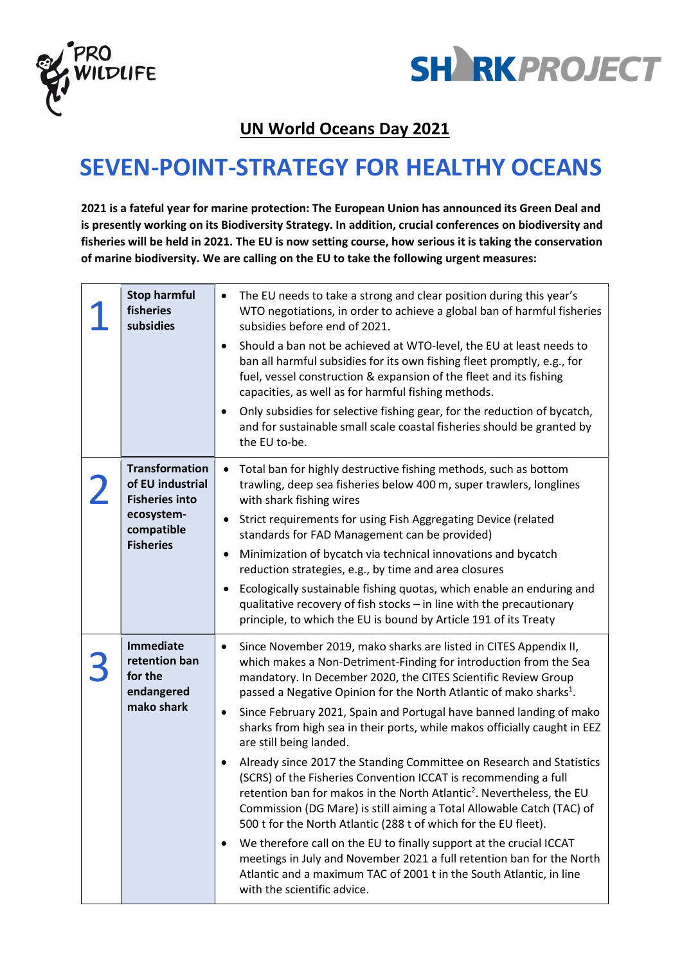



## UN World Oceans Day 2021

## SEVEN-POINT-STRATEGY FOR HEALTHY OCEANS

2021 is a fateful year for marine protection: The European Union has announced its Green Deal and is presently working on its Biodiversity Strategy. In addition, crucial conferences on biodiversity and fisheries will be held in 2021. The EU is now setting course, how serious it is taking the conservation of marine biodiversity. We are calling on the EU to take the following urgent measures:

| <b>Stop harmful</b><br>fisheries<br>subsidies                                                                      | The EU needs to take a strong and clear position during this year's<br>٠<br>WTO negotiations, in order to achieve a global ban of harmful fisheries<br>subsidies before end of 2021.<br>Should a ban not be achieved at WTO-level, the EU at least needs to<br>٠<br>ban all harmful subsidies for its own fishing fleet promptly, e.g., for<br>fuel, vessel construction & expansion of the fleet and its fishing<br>capacities, as well as for harmful fishing methods.<br>Only subsidies for selective fishing gear, for the reduction of bycatch,<br>٠<br>and for sustainable small scale coastal fisheries should be granted by<br>the EU to-be.                                                                                                                                                                                                                                                                                                                                                                                                                                                                            |
|--------------------------------------------------------------------------------------------------------------------|---------------------------------------------------------------------------------------------------------------------------------------------------------------------------------------------------------------------------------------------------------------------------------------------------------------------------------------------------------------------------------------------------------------------------------------------------------------------------------------------------------------------------------------------------------------------------------------------------------------------------------------------------------------------------------------------------------------------------------------------------------------------------------------------------------------------------------------------------------------------------------------------------------------------------------------------------------------------------------------------------------------------------------------------------------------------------------------------------------------------------------|
| <b>Transformation</b><br>of EU industrial<br><b>Fisheries into</b><br>ecosystem-<br>compatible<br><b>Fisheries</b> | Total ban for highly destructive fishing methods, such as bottom<br>$\bullet$<br>trawling, deep sea fisheries below 400 m, super trawlers, longlines<br>with shark fishing wires<br>Strict requirements for using Fish Aggregating Device (related<br>$\bullet$<br>standards for FAD Management can be provided)<br>Minimization of bycatch via technical innovations and bycatch<br>$\bullet$<br>reduction strategies, e.g., by time and area closures<br>Ecologically sustainable fishing quotas, which enable an enduring and<br>qualitative recovery of fish stocks - in line with the precautionary<br>principle, to which the EU is bound by Article 191 of its Treaty                                                                                                                                                                                                                                                                                                                                                                                                                                                    |
| <b>Immediate</b><br>retention ban<br>for the<br>endangered<br>mako shark                                           | Since November 2019, mako sharks are listed in CITES Appendix II,<br>٠<br>which makes a Non-Detriment-Finding for introduction from the Sea<br>mandatory. In December 2020, the CITES Scientific Review Group<br>passed a Negative Opinion for the North Atlantic of mako sharks <sup>1</sup> .<br>Since February 2021, Spain and Portugal have banned landing of mako<br>٠<br>sharks from high sea in their ports, while makos officially caught in EEZ<br>are still being landed.<br>Already since 2017 the Standing Committee on Research and Statistics<br>٠<br>(SCRS) of the Fisheries Convention ICCAT is recommending a full<br>retention ban for makos in the North Atlantic <sup>2</sup> . Nevertheless, the EU<br>Commission (DG Mare) is still aiming a Total Allowable Catch (TAC) of<br>500 t for the North Atlantic (288 t of which for the EU fleet).<br>We therefore call on the EU to finally support at the crucial ICCAT<br>٠<br>meetings in July and November 2021 a full retention ban for the North<br>Atlantic and a maximum TAC of 2001 t in the South Atlantic, in line<br>with the scientific advice. |